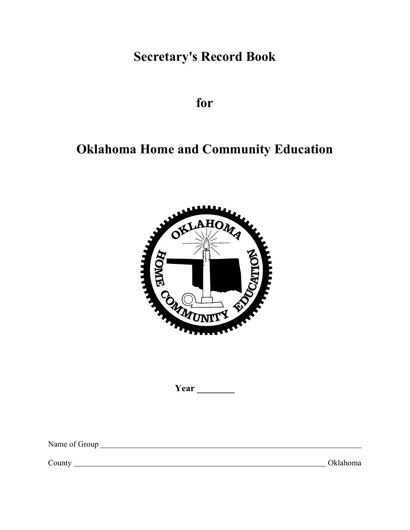**Secretary's Record Book**

**for**

# **Oklahoma Home and Community Education**



**Year \_\_\_\_\_\_\_\_**

Name of Group

County Oklahoma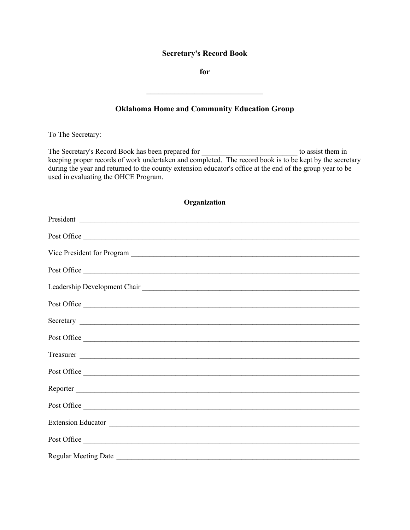### **Secretary's Record Book**

**for**

**\_\_\_\_\_\_\_\_\_\_\_\_\_\_\_\_\_\_\_\_\_\_\_\_\_\_\_\_\_**

### **Oklahoma Home and Community Education Group**

To The Secretary:

The Secretary's Record Book has been prepared for \_\_\_\_\_\_\_\_\_\_\_\_\_\_\_\_\_\_\_\_\_\_\_\_\_\_\_\_\_\_ to assist them in keeping proper records of work undertaken and completed. The record book is to be kept by the secretary during the year and returned to the county extension educator's office at the end of the group year to be used in evaluating the OHCE Program.

**Organization**

| President                           |
|-------------------------------------|
| Post Office                         |
|                                     |
| Post Office                         |
| Leadership Development Chair        |
| Post Office                         |
|                                     |
| Post Office                         |
| Treasurer                           |
| Post Office                         |
| Reporter                            |
| Post Office                         |
|                                     |
|                                     |
| Post Office<br>Regular Meeting Date |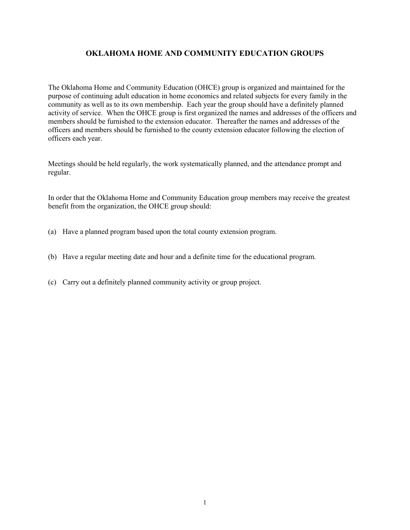### **OKLAHOMA HOME AND COMMUNITY EDUCATION GROUPS**

The Oklahoma Home and Community Education (OHCE) group is organized and maintained for the purpose of continuing adult education in home economics and related subjects for every family in the community as well as to its own membership. Each year the group should have a definitely planned activity of service. When the OHCE group is first organized the names and addresses of the officers and members should be furnished to the extension educator. Thereafter the names and addresses of the officers and members should be furnished to the county extension educator following the election of officers each year.

Meetings should be held regularly, the work systematically planned, and the attendance prompt and regular.

In order that the Oklahoma Home and Community Education group members may receive the greatest benefit from the organization, the OHCE group should:

- (a) Have a planned program based upon the total county extension program.
- (b) Have a regular meeting date and hour and a definite time for the educational program.
- (c) Carry out a definitely planned community activity or group project.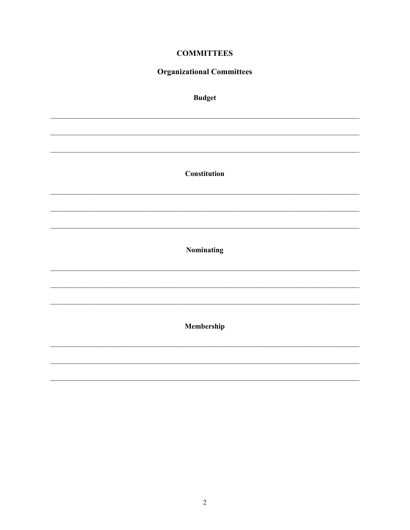## **COMMITTEES**

### **Organizational Committees**

**Budget** 

Constitution

**Nominating** 

Membership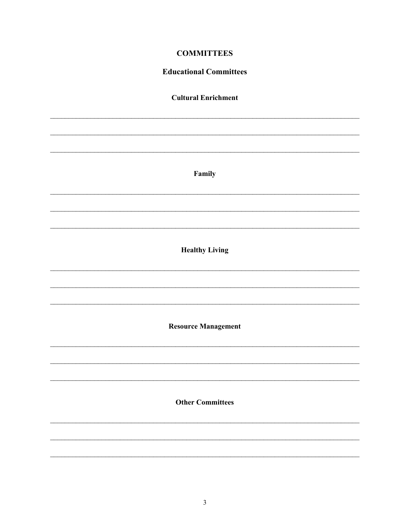## **COMMITTEES**

### **Educational Committees**

### **Cultural Enrichment**

Family

**Healthy Living** 

**Resource Management** 

**Other Committees**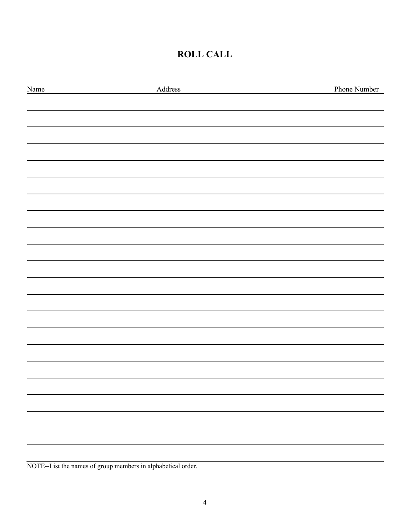## **ROLL CALL**

| Name | Address | Phone Number |
|------|---------|--------------|
|      |         |              |
|      |         |              |
|      |         |              |
|      |         |              |
|      |         |              |
|      |         |              |
|      |         |              |
|      |         |              |
|      |         |              |
|      |         |              |
|      |         |              |
|      |         |              |
|      |         |              |
|      |         |              |
|      |         |              |
|      |         |              |
|      |         |              |
|      |         |              |
|      |         |              |
|      |         |              |
|      |         |              |
|      |         |              |

NOTE--List the names of group members in alphabetical order.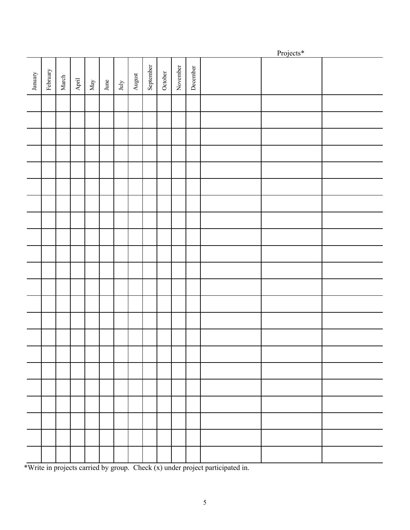|         |          |       |       |                   |               |               |        |           |         |          |          | Projects* |  |
|---------|----------|-------|-------|-------------------|---------------|---------------|--------|-----------|---------|----------|----------|-----------|--|
| January | February | March | April | $_{\mathrm{May}}$ | $_{\rm June}$ | $_{\rm July}$ | August | September | October | November | December |           |  |
|         |          |       |       |                   |               |               |        |           |         |          |          |           |  |
|         |          |       |       |                   |               |               |        |           |         |          |          |           |  |
|         |          |       |       |                   |               |               |        |           |         |          |          |           |  |
|         |          |       |       |                   |               |               |        |           |         |          |          |           |  |
|         |          |       |       |                   |               |               |        |           |         |          |          |           |  |
|         |          |       |       |                   |               |               |        |           |         |          |          |           |  |
|         |          |       |       |                   |               |               |        |           |         |          |          |           |  |
|         |          |       |       |                   |               |               |        |           |         |          |          |           |  |
|         |          |       |       |                   |               |               |        |           |         |          |          |           |  |
|         |          |       |       |                   |               |               |        |           |         |          |          |           |  |
|         |          |       |       |                   |               |               |        |           |         |          |          |           |  |
|         |          |       |       |                   |               |               |        |           |         |          |          |           |  |
|         |          |       |       |                   |               |               |        |           |         |          |          |           |  |
|         |          |       |       |                   |               |               |        |           |         |          |          |           |  |
|         |          |       |       |                   |               |               |        |           |         |          |          |           |  |
|         |          |       |       |                   |               |               |        |           |         |          |          |           |  |
|         |          |       |       |                   |               |               |        |           |         |          |          |           |  |
|         |          |       |       |                   |               |               |        |           |         |          |          |           |  |
|         |          |       |       |                   |               |               |        |           |         |          |          |           |  |
|         |          |       |       |                   |               |               |        |           |         |          |          |           |  |
|         |          |       |       |                   |               |               |        |           |         |          |          |           |  |
|         |          |       |       |                   |               |               |        |           |         |          |          |           |  |

\*Write in projects carried by group. Check (x) under project participated in.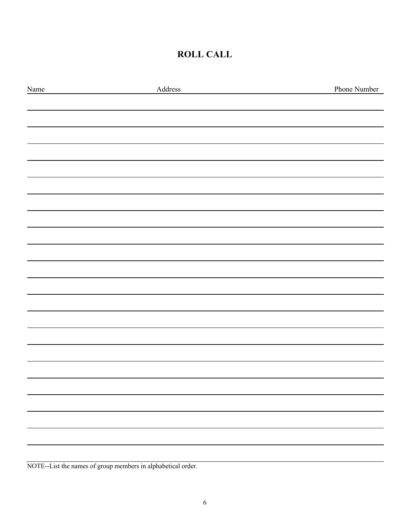## **ROLL CALL**

| Name | Address | Phone Number |
|------|---------|--------------|
|      |         |              |
|      |         |              |
|      |         |              |
|      |         |              |
|      |         |              |
|      |         |              |
|      |         |              |
|      |         |              |
|      |         |              |
|      |         |              |
|      |         |              |
|      |         |              |
|      |         |              |
|      |         |              |
|      |         |              |
|      |         |              |
|      |         |              |
|      |         |              |
|      |         |              |
|      |         |              |
|      |         |              |
|      |         |              |
|      |         |              |

NOTE--List the names of group members in alphabetical order.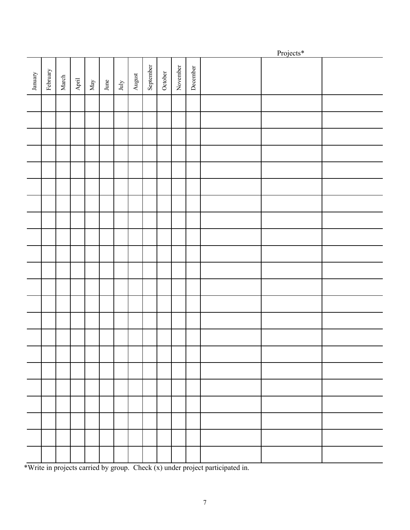|         |          |       |       |                   |               |               |        |           |         |          |          | Projects* |  |
|---------|----------|-------|-------|-------------------|---------------|---------------|--------|-----------|---------|----------|----------|-----------|--|
| January | February | March | April | $_{\mathrm{May}}$ | $_{\rm June}$ | $_{\rm July}$ | August | September | October | November | December |           |  |
|         |          |       |       |                   |               |               |        |           |         |          |          |           |  |
|         |          |       |       |                   |               |               |        |           |         |          |          |           |  |
|         |          |       |       |                   |               |               |        |           |         |          |          |           |  |
|         |          |       |       |                   |               |               |        |           |         |          |          |           |  |
|         |          |       |       |                   |               |               |        |           |         |          |          |           |  |
|         |          |       |       |                   |               |               |        |           |         |          |          |           |  |
|         |          |       |       |                   |               |               |        |           |         |          |          |           |  |
|         |          |       |       |                   |               |               |        |           |         |          |          |           |  |
|         |          |       |       |                   |               |               |        |           |         |          |          |           |  |
|         |          |       |       |                   |               |               |        |           |         |          |          |           |  |
|         |          |       |       |                   |               |               |        |           |         |          |          |           |  |
|         |          |       |       |                   |               |               |        |           |         |          |          |           |  |
|         |          |       |       |                   |               |               |        |           |         |          |          |           |  |
|         |          |       |       |                   |               |               |        |           |         |          |          |           |  |
|         |          |       |       |                   |               |               |        |           |         |          |          |           |  |
|         |          |       |       |                   |               |               |        |           |         |          |          |           |  |
|         |          |       |       |                   |               |               |        |           |         |          |          |           |  |
|         |          |       |       |                   |               |               |        |           |         |          |          |           |  |
|         |          |       |       |                   |               |               |        |           |         |          |          |           |  |
|         |          |       |       |                   |               |               |        |           |         |          |          |           |  |
|         |          |       |       |                   |               |               |        |           |         |          |          |           |  |
|         |          |       |       |                   |               |               |        |           |         |          |          |           |  |

\*Write in projects carried by group. Check (x) under project participated in.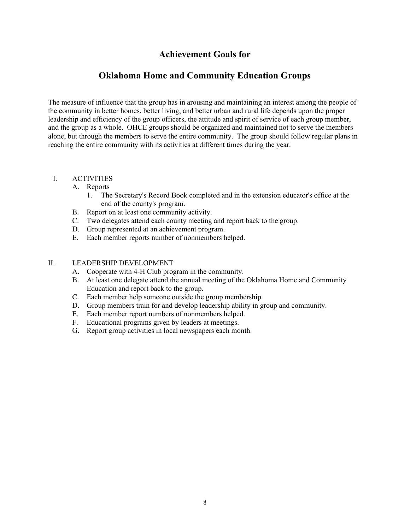## **Achievement Goals for**

### **Oklahoma Home and Community Education Groups**

The measure of influence that the group has in arousing and maintaining an interest among the people of the community in better homes, better living, and better urban and rural life depends upon the proper leadership and efficiency of the group officers, the attitude and spirit of service of each group member, and the group as a whole. OHCE groups should be organized and maintained not to serve the members alone, but through the members to serve the entire community. The group should follow regular plans in reaching the entire community with its activities at different times during the year.

### I. ACTIVITIES

- A. Reports
	- 1. The Secretary's Record Book completed and in the extension educator's office at the end of the county's program.
- B. Report on at least one community activity.
- C. Two delegates attend each county meeting and report back to the group.
- D. Group represented at an achievement program.
- E. Each member reports number of nonmembers helped.

#### II. LEADERSHIP DEVELOPMENT

- A. Cooperate with 4-H Club program in the community.
- B. At least one delegate attend the annual meeting of the Oklahoma Home and Community Education and report back to the group.
- C. Each member help someone outside the group membership.
- D. Group members train for and develop leadership ability in group and community.
- E. Each member report numbers of nonmembers helped.
- F. Educational programs given by leaders at meetings.
- G. Report group activities in local newspapers each month.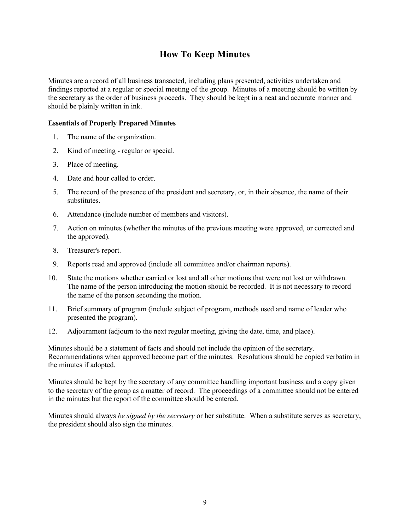## **How To Keep Minutes**

Minutes are a record of all business transacted, including plans presented, activities undertaken and findings reported at a regular or special meeting of the group. Minutes of a meeting should be written by the secretary as the order of business proceeds. They should be kept in a neat and accurate manner and should be plainly written in ink.

#### **Essentials of Properly Prepared Minutes**

- 1. The name of the organization.
- 2. Kind of meeting regular or special.
- 3. Place of meeting.
- 4. Date and hour called to order.
- 5. The record of the presence of the president and secretary, or, in their absence, the name of their substitutes.
- 6. Attendance (include number of members and visitors).
- 7. Action on minutes (whether the minutes of the previous meeting were approved, or corrected and the approved).
- 8. Treasurer's report.
- 9. Reports read and approved (include all committee and/or chairman reports).
- 10. State the motions whether carried or lost and all other motions that were not lost or withdrawn. The name of the person introducing the motion should be recorded. It is not necessary to record the name of the person seconding the motion.
- 11. Brief summary of program (include subject of program, methods used and name of leader who presented the program).
- 12. Adjournment (adjourn to the next regular meeting, giving the date, time, and place).

Minutes should be a statement of facts and should not include the opinion of the secretary. Recommendations when approved become part of the minutes. Resolutions should be copied verbatim in the minutes if adopted.

Minutes should be kept by the secretary of any committee handling important business and a copy given to the secretary of the group as a matter of record. The proceedings of a committee should not be entered in the minutes but the report of the committee should be entered.

Minutes should always *be signed by the secretary* or her substitute. When a substitute serves as secretary, the president should also sign the minutes.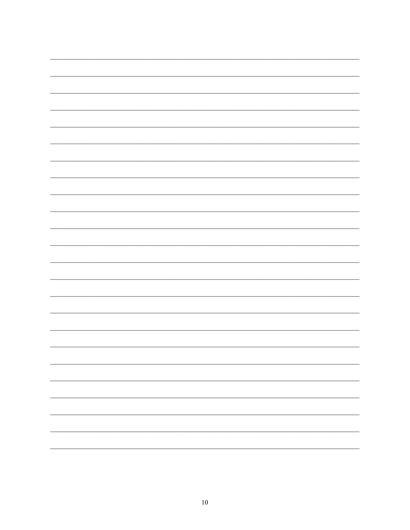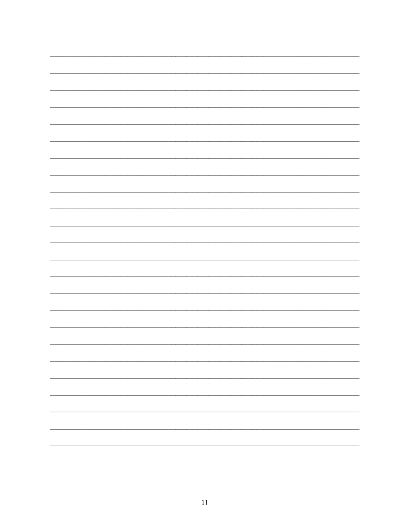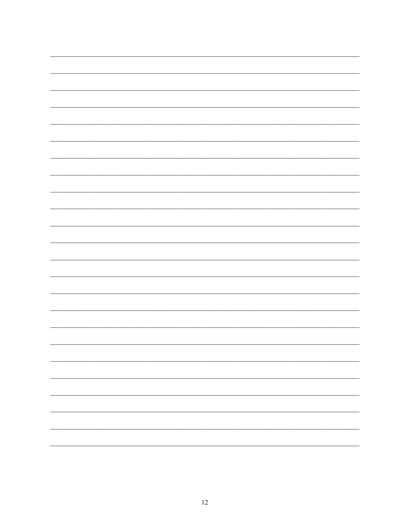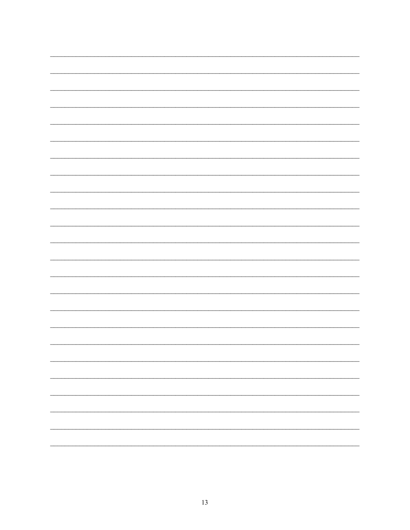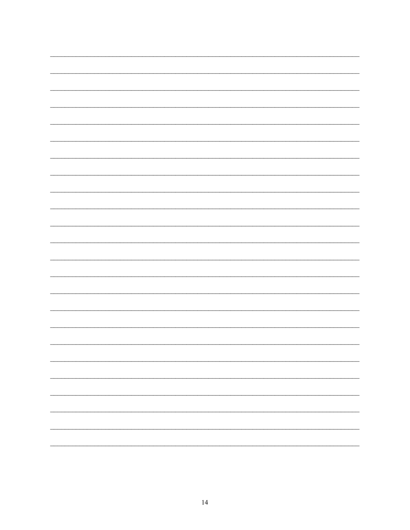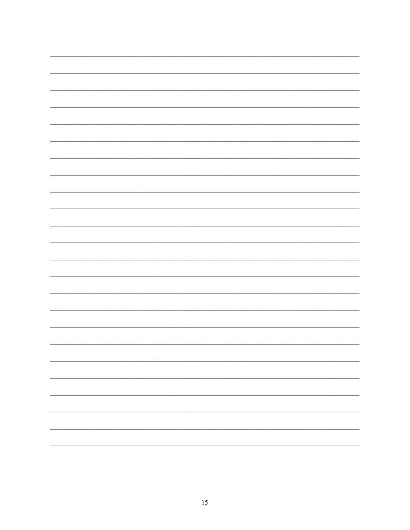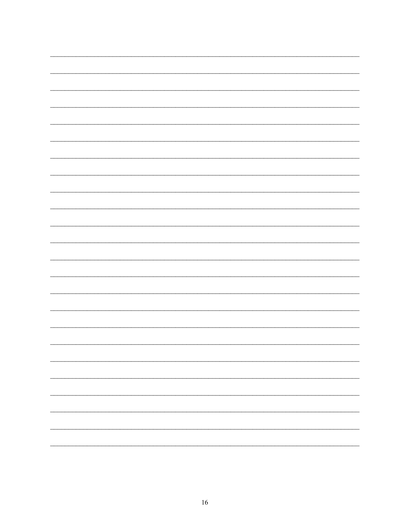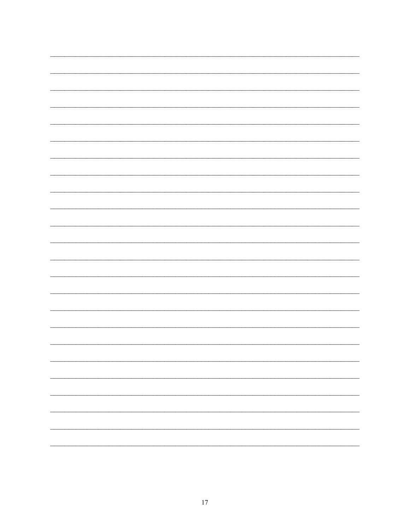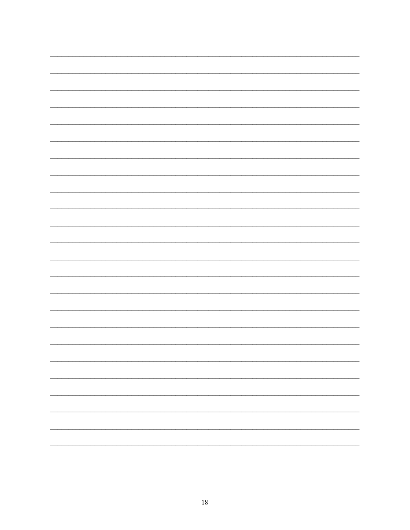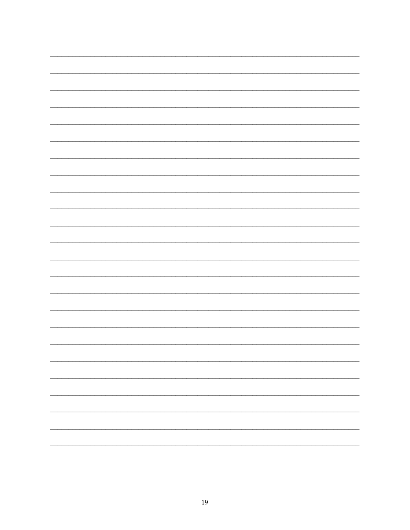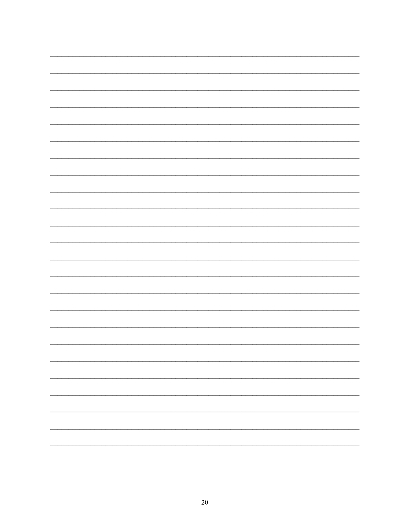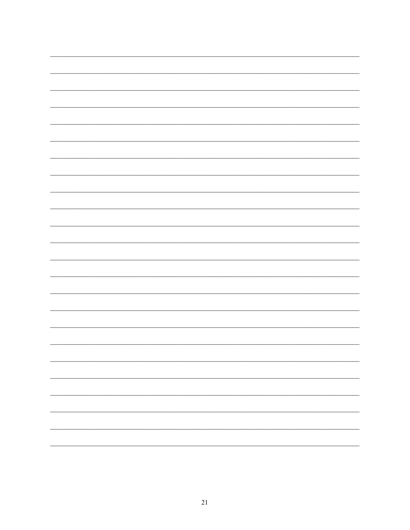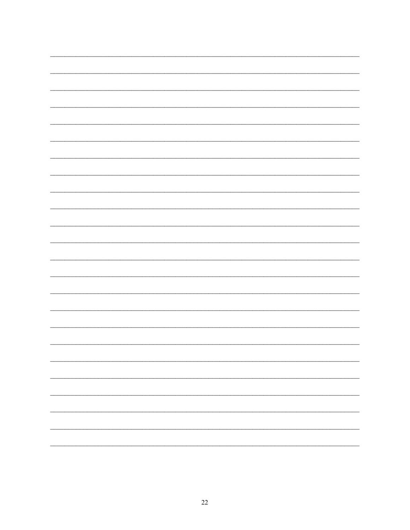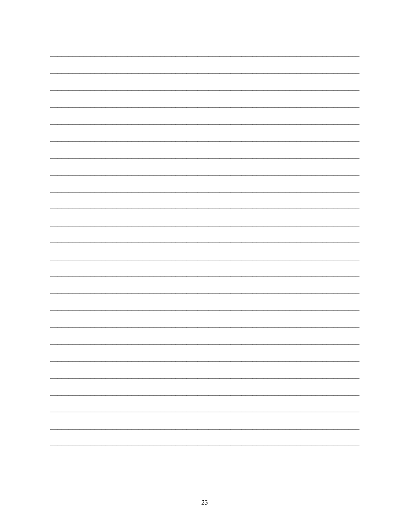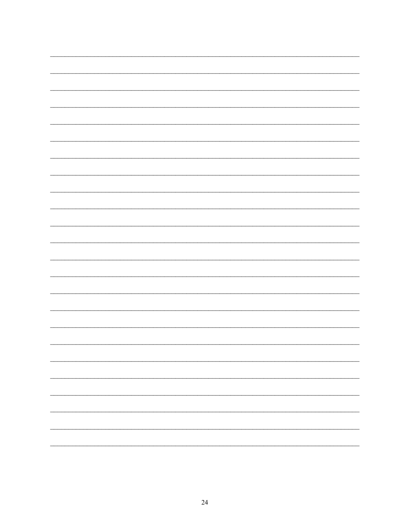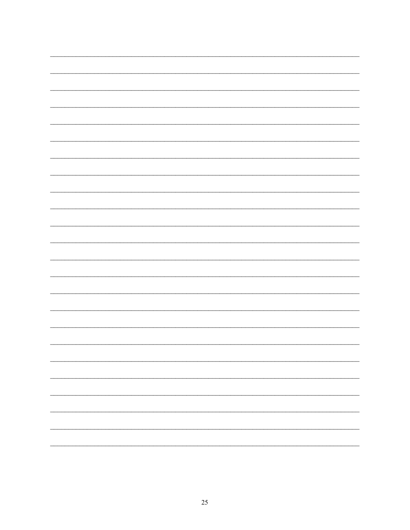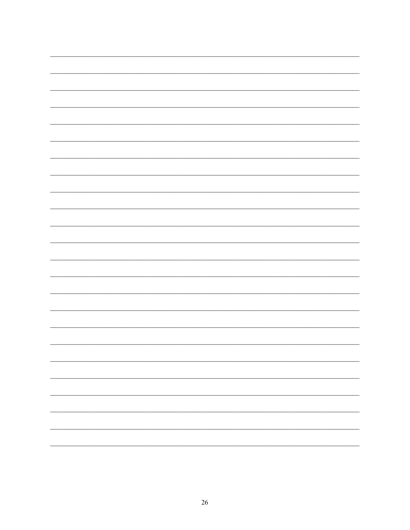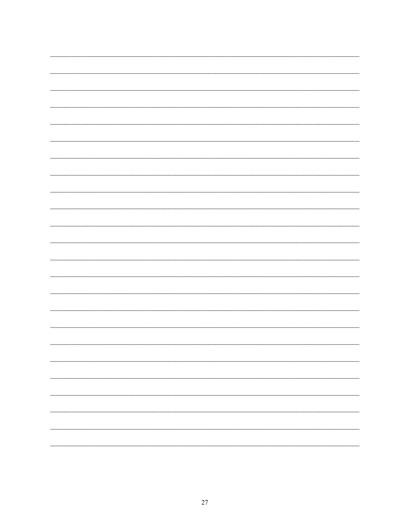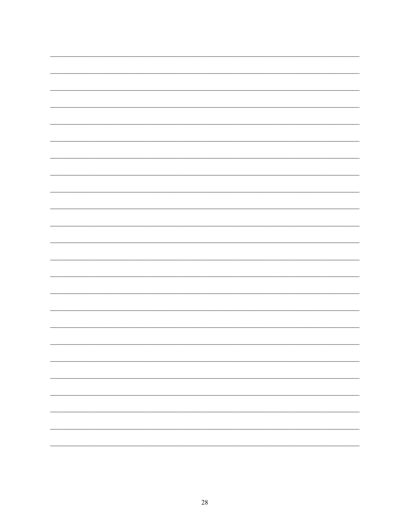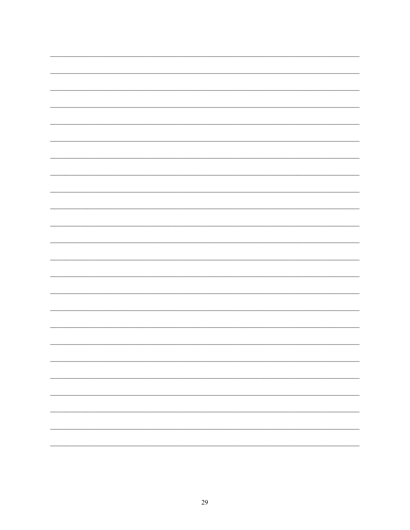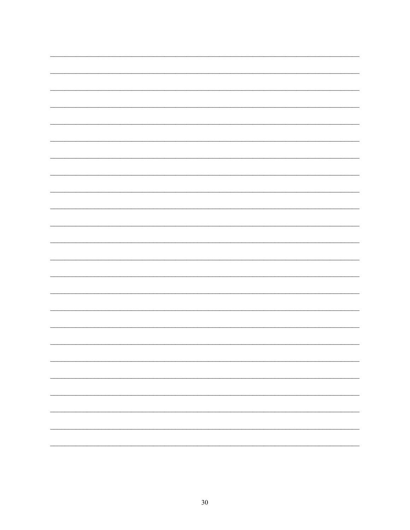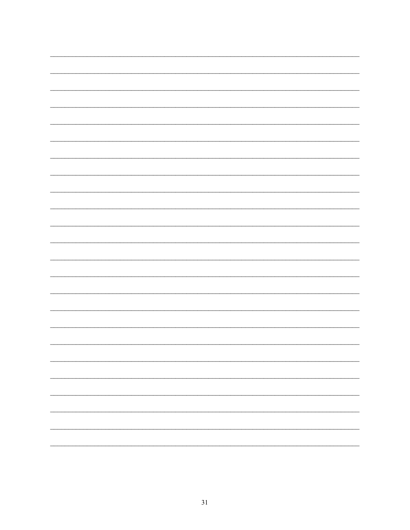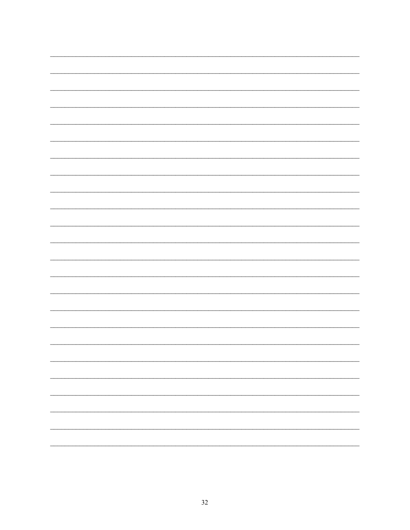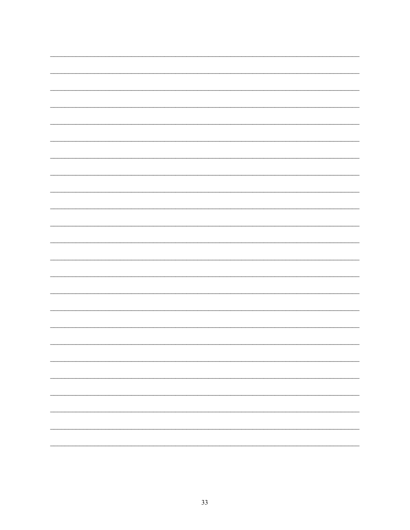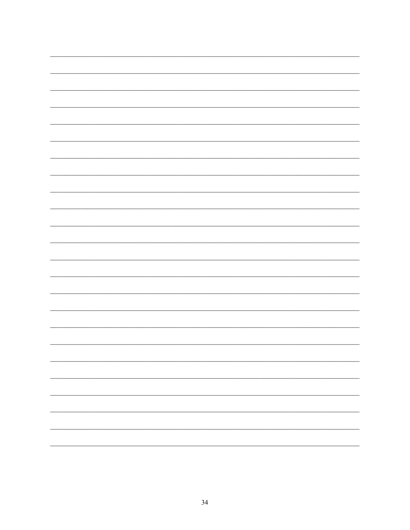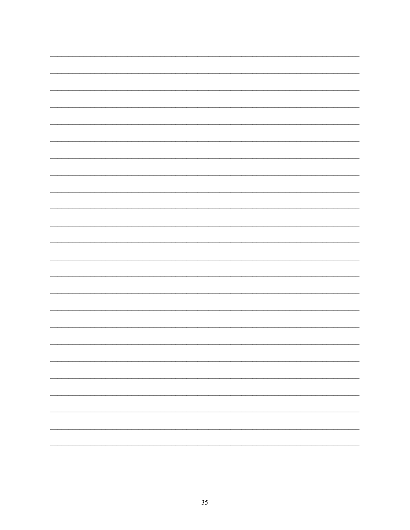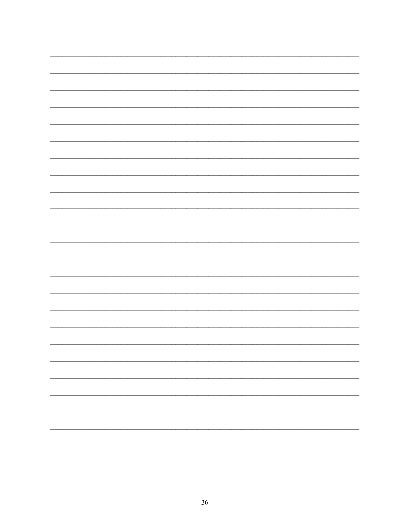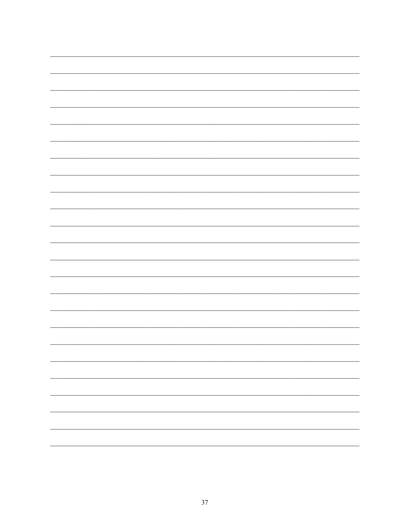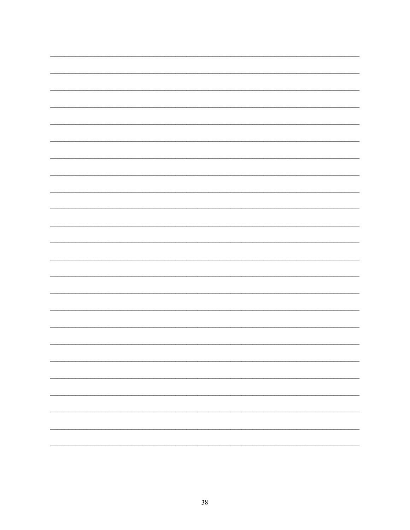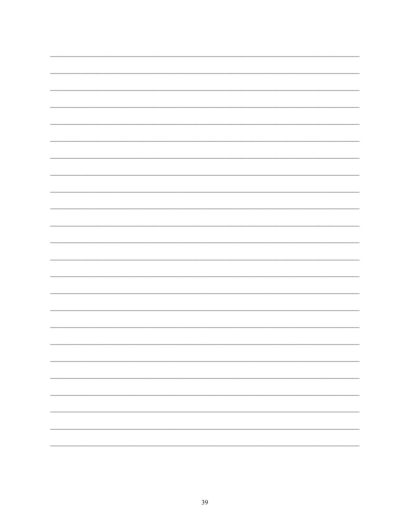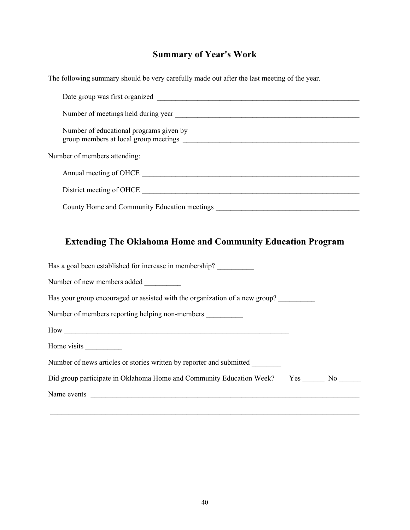## **Summary of Year's Work**

The following summary should be very carefully made out after the last meeting of the year.

| Date group was first organized                                                   |
|----------------------------------------------------------------------------------|
|                                                                                  |
| Number of educational programs given by<br>group members at local group meetings |
| Number of members attending:                                                     |
|                                                                                  |
| District meeting of OHCE                                                         |
| County Home and Community Education meetings                                     |

## **Extending The Oklahoma Home and Community Education Program**

| Has a goal been established for increase in membership?                     |  |  |
|-----------------------------------------------------------------------------|--|--|
| Number of new members added                                                 |  |  |
| Has your group encouraged or assisted with the organization of a new group? |  |  |
| Number of members reporting helping non-members __________                  |  |  |
| $\frac{1}{2}$ How                                                           |  |  |
|                                                                             |  |  |
| Number of news articles or stories written by reporter and submitted        |  |  |
| Did group participate in Oklahoma Home and Community Education Week? Yes No |  |  |
|                                                                             |  |  |
|                                                                             |  |  |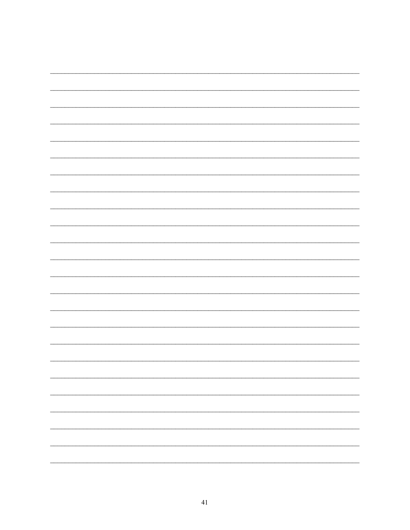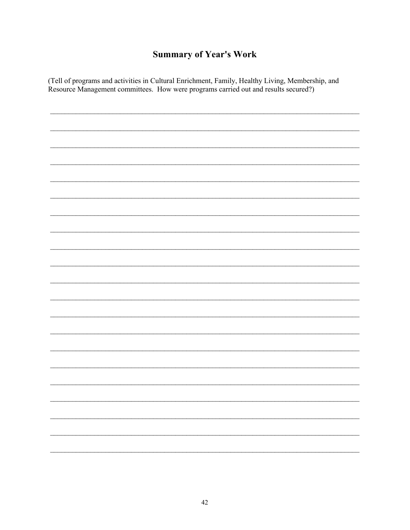## **Summary of Year's Work**

(Tell of programs and activities in Cultural Enrichment, Family, Healthy Living, Membership, and Resource Management committees. How were programs carried out and results secured?)

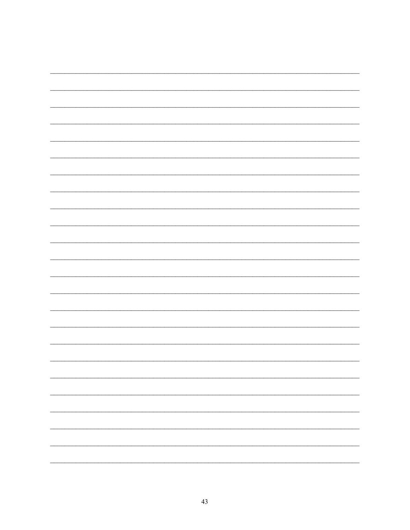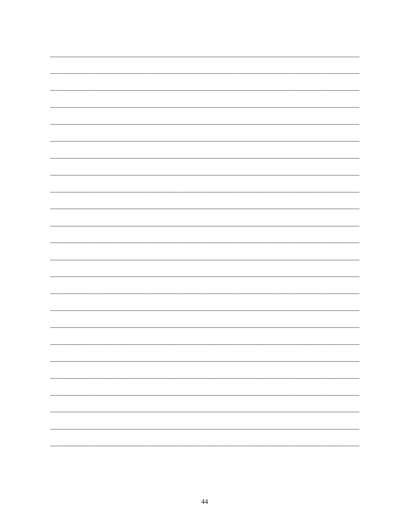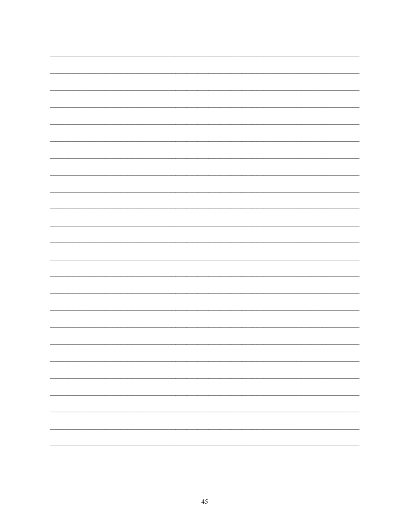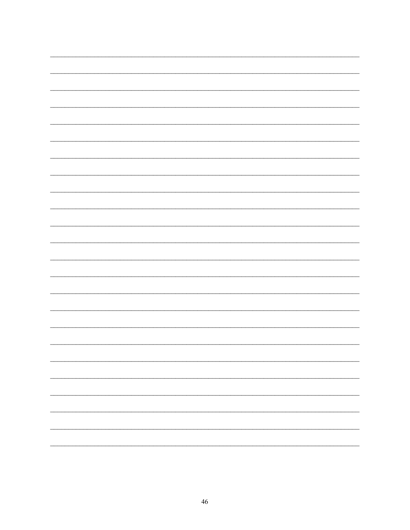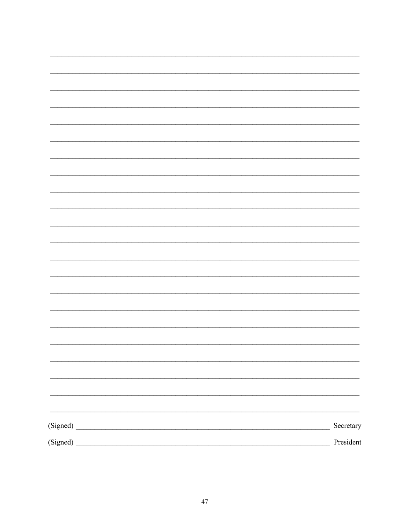| (Signed)<br>(Signed) | President |
|----------------------|-----------|
|                      | Secretary |
|                      |           |
|                      |           |
|                      |           |
|                      |           |
|                      |           |
|                      |           |
|                      |           |
|                      |           |
|                      |           |
|                      |           |
|                      |           |
|                      |           |
|                      |           |
|                      |           |
|                      |           |
|                      |           |
|                      |           |
|                      |           |
|                      |           |
|                      |           |
|                      |           |